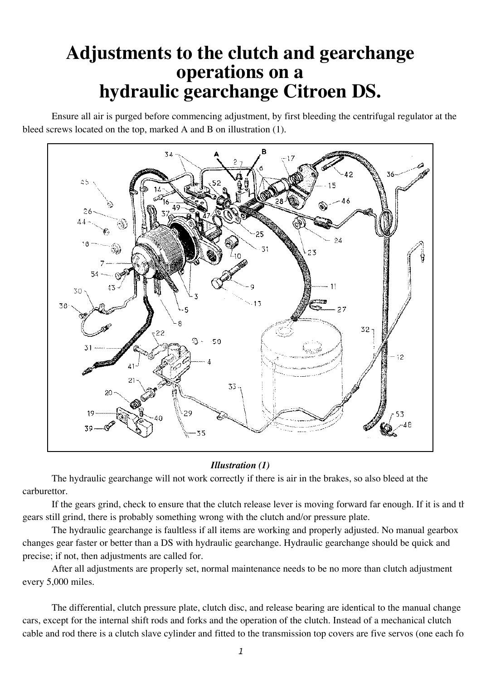# **Adjustments to the clutch and gearchange operations on a hydraulic gearchange Citroen DS.**

Ensure all air is purged before commencing adjustment, by first bleeding the centrifugal regulator at the bleed screws located on the top, marked A and B on illustration (1).



# *Illustration (1)*

The hydraulic gearchange will not work correctly if there is air in the brakes, so also bleed at the carburettor.

If the gears grind, check to ensure that the clutch release lever is moving forward far enough. If it is and the gears still grind, there is probably something wrong with the clutch and/or pressure plate.

The hydraulic gearchange is faultless if all items are working and properly adjusted. No manual gearbox changes gear faster or better than a DS with hydraulic gearchange. Hydraulic gearchange should be quick and precise; if not, then adjustments are called for.

After all adjustments are properly set, normal maintenance needs to be no more than clutch adjustment every 5,000 miles.

The differential, clutch pressure plate, clutch disc, and release bearing are identical to the manual change cars, except for the internal shift rods and forks and the operation of the clutch. Instead of a mechanical clutch cable and rod there is a clutch slave cylinder and fitted to the transmission top covers are five servos (one each for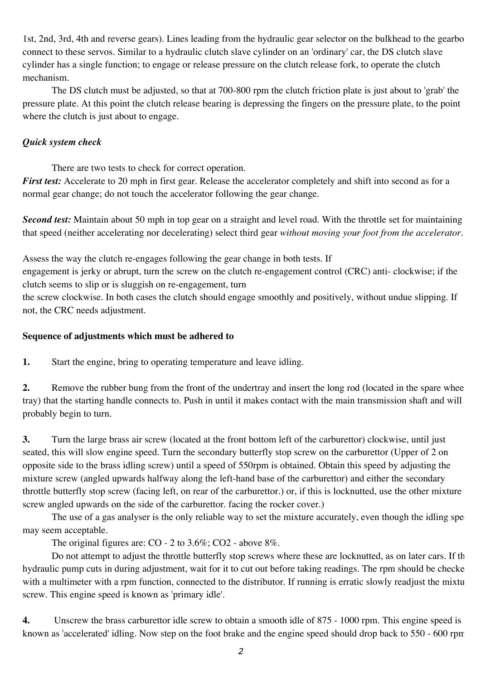1st, 2nd, 3rd, 4th and reverse gears). Lines leading from the hydraulic gear selector on the bulkhead to the gearbo connect to these servos. Similar to a hydraulic clutch slave cylinder on an 'ordinary' car, the DS clutch slave cylinder has a single function; to engage or release pressure on the clutch release fork, to operate the clutch mechanism.

The DS clutch must be adjusted, so that at 700-800 rpm the clutch friction plate is just about to 'grab' the pressure plate. At this point the clutch release bearing is depressing the fingers on the pressure plate, to the point where the clutch is just about to engage.

# *Quick system check*

There are two tests to check for correct operation.

*First test:* Accelerate to 20 mph in first gear. Release the accelerator completely and shift into second as for a normal gear change; do not touch the accelerator following the gear change.

*Second test:* Maintain about 50 mph in top gear on a straight and level road. With the throttle set for maintaining that speed (neither accelerating nor decelerating) select third gear *without moving your foot from the accelerator*.

Assess the way the clutch re-engages following the gear change in both tests. If

engagement is jerky or abrupt, turn the screw on the clutch re-engagement control (CRC) anti- clockwise; if the clutch seems to slip or is sluggish on re-engagement, turn

the screw clockwise. In both cases the clutch should engage smoothly and positively, without undue slipping. If not, the CRC needs adjustment.

# **Sequence of adjustments which must be adhered to**

**1.** Start the engine, bring to operating temperature and leave idling.

**2.** Remove the rubber bung from the front of the undertray and insert the long rod (located in the spare whee tray) that the starting handle connects to. Push in until it makes contact with the main transmission shaft and will probably begin to turn.

**3.** Turn the large brass air screw (located at the front bottom left of the carburettor) clockwise, until just seated, this will slow engine speed. Turn the secondary butterfly stop screw on the carburettor (Upper of 2 on opposite side to the brass idling screw) until a speed of 550rpm is obtained. Obtain this speed by adjusting the mixture screw (angled upwards halfway along the left-hand base of the carburettor) and either the secondary throttle butterfly stop screw (facing left, on rear of the carburettor.) or, if this is locknutted, use the other mixture screw angled upwards on the side of the carburettor. facing the rocker cover.)

The use of a gas analyser is the only reliable way to set the mixture accurately, even though the idling spe may seem acceptable.

The original figures are: CO - 2 to 3.6%; CO2 - above 8%.

Do not attempt to adjust the throttle butterfly stop screws where these are locknutted, as on later cars. If th hydraulic pump cuts in during adjustment, wait for it to cut out before taking readings. The rpm should be checke with a multimeter with a rpm function, connected to the distributor. If running is erratic slowly readjust the mixtu screw. This engine speed is known as 'primary idle'.

**4.** Unscrew the brass carburettor idle screw to obtain a smooth idle of 875 - 1000 rpm. This engine speed is known as 'accelerated' idling. Now step on the foot brake and the engine speed should drop back to 550 - 600 rpm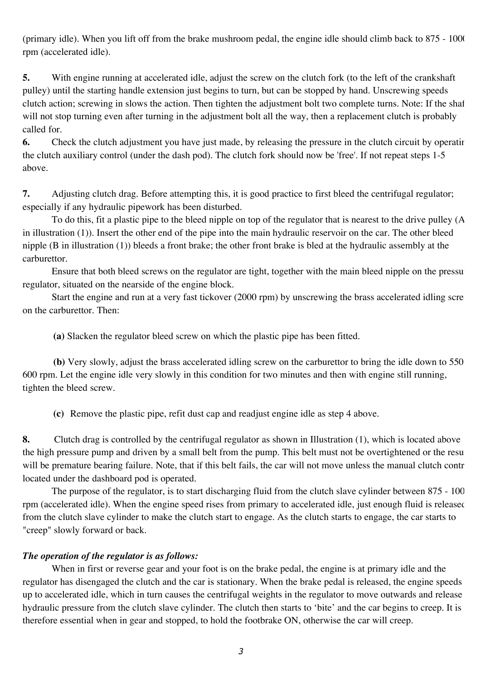(primary idle). When you lift off from the brake mushroom pedal, the engine idle should climb back to 875 - 1000 rpm (accelerated idle).

**5.** With engine running at accelerated idle, adjust the screw on the clutch fork (to the left of the crankshaft pulley) until the starting handle extension just begins to turn, but can be stopped by hand. Unscrewing speeds clutch action; screwing in slows the action. Then tighten the adjustment bolt two complete turns. Note: If the shaft will not stop turning even after turning in the adjustment bolt all the way, then a replacement clutch is probably called for.

**6.** Check the clutch adjustment you have just made, by releasing the pressure in the clutch circuit by operating the clutch auxiliary control (under the dash pod). The clutch fork should now be 'free'. If not repeat steps 1-5 above.

**7.** Adjusting clutch drag. Before attempting this, it is good practice to first bleed the centrifugal regulator; especially if any hydraulic pipework has been disturbed.

To do this, fit a plastic pipe to the bleed nipple on top of the regulator that is nearest to the drive pulley (A in illustration (1)). Insert the other end of the pipe into the main hydraulic reservoir on the car. The other bleed nipple (B in illustration (1)) bleeds a front brake; the other front brake is bled at the hydraulic assembly at the carburettor.

Ensure that both bleed screws on the regulator are tight, together with the main bleed nipple on the pressure regulator, situated on the nearside of the engine block.

Start the engine and run at a very fast tickover (2000 rpm) by unscrewing the brass accelerated idling scre on the carburettor. Then:

**(a)** Slacken the regulator bleed screw on which the plastic pipe has been fitted.

**(b)** Very slowly, adjust the brass accelerated idling screw on the carburettor to bring the idle down to 550 600 rpm. Let the engine idle very slowly in this condition for two minutes and then with engine still running, tighten the bleed screw.

**(c)** Remove the plastic pipe, refit dust cap and readjust engine idle as step 4 above.

**8.** Clutch drag is controlled by the centrifugal regulator as shown in Illustration (1), which is located above the high pressure pump and driven by a small belt from the pump. This belt must not be overtightened or the resu will be premature bearing failure. Note, that if this belt fails, the car will not move unless the manual clutch contr located under the dashboard pod is operated.

The purpose of the regulator, is to start discharging fluid from the clutch slave cylinder between 875 - 100 rpm (accelerated idle). When the engine speed rises from primary to accelerated idle, just enough fluid is released from the clutch slave cylinder to make the clutch start to engage. As the clutch starts to engage, the car starts to "creep" slowly forward or back.

# *The operation of the regulator is as follows:*

When in first or reverse gear and your foot is on the brake pedal, the engine is at primary idle and the regulator has disengaged the clutch and the car is stationary. When the brake pedal is released, the engine speeds up to accelerated idle, which in turn causes the centrifugal weights in the regulator to move outwards and release hydraulic pressure from the clutch slave cylinder. The clutch then starts to 'bite' and the car begins to creep. It is therefore essential when in gear and stopped, to hold the footbrake ON, otherwise the car will creep.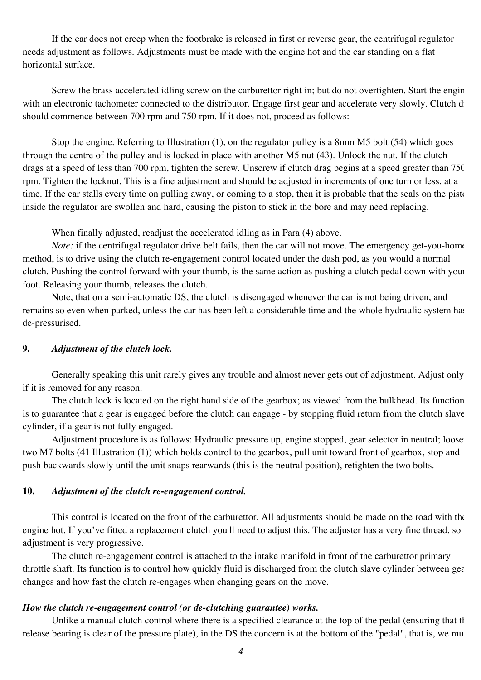If the car does not creep when the footbrake is released in first or reverse gear, the centrifugal regulator needs adjustment as follows. Adjustments must be made with the engine hot and the car standing on a flat horizontal surface.

Screw the brass accelerated idling screw on the carburettor right in; but do not overtighten. Start the engine with an electronic tachometer connected to the distributor. Engage first gear and accelerate very slowly. Clutch d should commence between 700 rpm and 750 rpm. If it does not, proceed as follows:

Stop the engine. Referring to Illustration (1), on the regulator pulley is a 8mm M5 bolt (54) which goes through the centre of the pulley and is locked in place with another M5 nut (43). Unlock the nut. If the clutch drags at a speed of less than 700 rpm, tighten the screw. Unscrew if clutch drag begins at a speed greater than 750 rpm. Tighten the locknut. This is a fine adjustment and should be adjusted in increments of one turn or less, at a time. If the car stalls every time on pulling away, or coming to a stop, then it is probable that the seals on the pisto inside the regulator are swollen and hard, causing the piston to stick in the bore and may need replacing.

When finally adjusted, readjust the accelerated idling as in Para (4) above.

*Note*: if the centrifugal regulator drive belt fails, then the car will not move. The emergency get-you-home method, is to drive using the clutch re-engagement control located under the dash pod, as you would a normal clutch. Pushing the control forward with your thumb, is the same action as pushing a clutch pedal down with your foot. Releasing your thumb, releases the clutch.

Note, that on a semi-automatic DS, the clutch is disengaged whenever the car is not being driven, and remains so even when parked, unless the car has been left a considerable time and the whole hydraulic system has de-pressurised.

## **9.** *Adjustment of the clutch lock.*

Generally speaking this unit rarely gives any trouble and almost never gets out of adjustment. Adjust only if it is removed for any reason.

The clutch lock is located on the right hand side of the gearbox; as viewed from the bulkhead. Its function is to guarantee that a gear is engaged before the clutch can engage - by stopping fluid return from the clutch slave cylinder, if a gear is not fully engaged.

Adjustment procedure is as follows: Hydraulic pressure up, engine stopped, gear selector in neutral; loosen two M7 bolts (41 Illustration (1)) which holds control to the gearbox, pull unit toward front of gearbox, stop and push backwards slowly until the unit snaps rearwards (this is the neutral position), retighten the two bolts.

## **10.** *Adjustment of the clutch re-engagement control.*

This control is located on the front of the carburettor. All adjustments should be made on the road with the engine hot. If you've fitted a replacement clutch you'll need to adjust this. The adjuster has a very fine thread, so adjustment is very progressive.

The clutch re-engagement control is attached to the intake manifold in front of the carburettor primary throttle shaft. Its function is to control how quickly fluid is discharged from the clutch slave cylinder between gea changes and how fast the clutch re-engages when changing gears on the move.

#### *How the clutch re-engagement control (or de-clutching guarantee) works.*

Unlike a manual clutch control where there is a specified clearance at the top of the pedal (ensuring that the release bearing is clear of the pressure plate), in the DS the concern is at the bottom of the "pedal", that is, we mu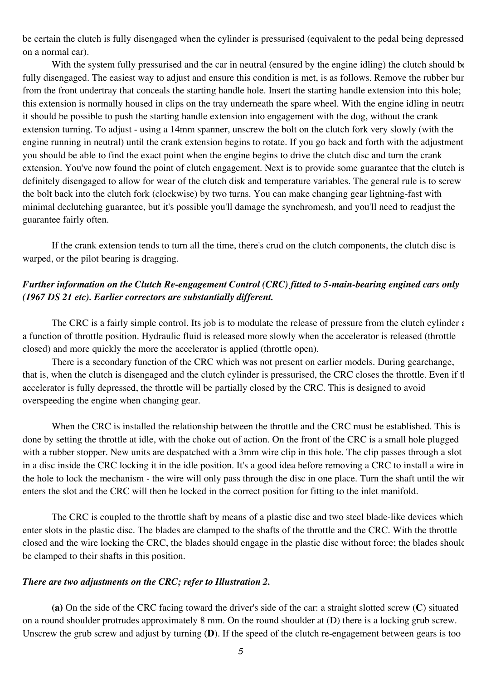be certain the clutch is fully disengaged when the cylinder is pressurised (equivalent to the pedal being depressed on a normal car).

With the system fully pressurised and the car in neutral (ensured by the engine idling) the clutch should be fully disengaged. The easiest way to adjust and ensure this condition is met, is as follows. Remove the rubber bur from the front undertray that conceals the starting handle hole. Insert the starting handle extension into this hole; this extension is normally housed in clips on the tray underneath the spare wheel. With the engine idling in neutral, it should be possible to push the starting handle extension into engagement with the dog, without the crank extension turning. To adjust - using a 14mm spanner, unscrew the bolt on the clutch fork very slowly (with the engine running in neutral) until the crank extension begins to rotate. If you go back and forth with the adjustment you should be able to find the exact point when the engine begins to drive the clutch disc and turn the crank extension. You've now found the point of clutch engagement. Next is to provide some guarantee that the clutch is definitely disengaged to allow for wear of the clutch disk and temperature variables. The general rule is to screw the bolt back into the clutch fork (clockwise) by two turns. You can make changing gear lightning-fast with minimal declutching guarantee, but it's possible you'll damage the synchromesh, and you'll need to readjust the guarantee fairly often.

If the crank extension tends to turn all the time, there's crud on the clutch components, the clutch disc is warped, or the pilot bearing is dragging.

# *Further information on the Clutch Re-engagement Control (CRC) fitted to 5-main-bearing engined cars only (1967 DS 21 etc). Earlier correctors are substantially different.*

The CRC is a fairly simple control. Its job is to modulate the release of pressure from the clutch cylinder  $\epsilon$ a function of throttle position. Hydraulic fluid is released more slowly when the accelerator is released (throttle closed) and more quickly the more the accelerator is applied (throttle open).

There is a secondary function of the CRC which was not present on earlier models. During gearchange, that is, when the clutch is disengaged and the clutch cylinder is pressurised, the CRC closes the throttle. Even if the accelerator is fully depressed, the throttle will be partially closed by the CRC. This is designed to avoid overspeeding the engine when changing gear.

When the CRC is installed the relationship between the throttle and the CRC must be established. This is done by setting the throttle at idle, with the choke out of action. On the front of the CRC is a small hole plugged with a rubber stopper. New units are despatched with a 3mm wire clip in this hole. The clip passes through a slot in a disc inside the CRC locking it in the idle position. It's a good idea before removing a CRC to install a wire in the hole to lock the mechanism - the wire will only pass through the disc in one place. Turn the shaft until the wir enters the slot and the CRC will then be locked in the correct position for fitting to the inlet manifold.

The CRC is coupled to the throttle shaft by means of a plastic disc and two steel blade-like devices which enter slots in the plastic disc. The blades are clamped to the shafts of the throttle and the CRC. With the throttle closed and the wire locking the CRC, the blades should engage in the plastic disc without force; the blades should be clamped to their shafts in this position.

### *There are two adjustments on the CRC; refer to Illustration 2.*

**(a)** On the side of the CRC facing toward the driver's side of the car: a straight slotted screw (**C**) situated on a round shoulder protrudes approximately 8 mm. On the round shoulder at (D) there is a locking grub screw. Unscrew the grub screw and adjust by turning (**D**). If the speed of the clutch re-engagement between gears is too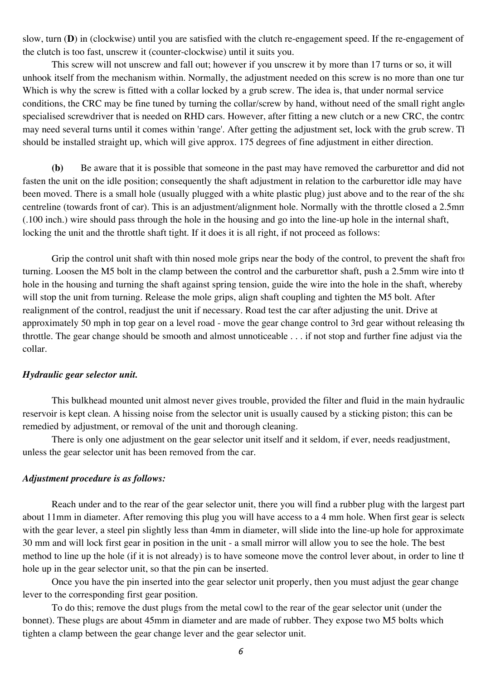slow, turn (**D**) in (clockwise) until you are satisfied with the clutch re-engagement speed. If the re-engagement of the clutch is too fast, unscrew it (counter-clockwise) until it suits you.

This screw will not unscrew and fall out; however if you unscrew it by more than 17 turns or so, it will unhook itself from the mechanism within. Normally, the adjustment needed on this screw is no more than one tur Which is why the screw is fitted with a collar locked by a grub screw. The idea is, that under normal service conditions, the CRC may be fine tuned by turning the collar/screw by hand, without need of the small right angled specialised screwdriver that is needed on RHD cars. However, after fitting a new clutch or a new CRC, the control may need several turns until it comes within 'range'. After getting the adjustment set, lock with the grub screw. The should be installed straight up, which will give approx. 175 degrees of fine adjustment in either direction.

**(b)** Be aware that it is possible that someone in the past may have removed the carburettor and did not fasten the unit on the idle position; consequently the shaft adjustment in relation to the carburettor idle may have been moved. There is a small hole (usually plugged with a white plastic plug) just above and to the rear of the sha centreline (towards front of car). This is an adjustment/alignment hole. Normally with the throttle closed a 2.5mm (.100 inch.) wire should pass through the hole in the housing and go into the line-up hole in the internal shaft, locking the unit and the throttle shaft tight. If it does it is all right, if not proceed as follows:

Grip the control unit shaft with thin nosed mole grips near the body of the control, to prevent the shaft from turning. Loosen the M5 bolt in the clamp between the control and the carburettor shaft, push a 2.5mm wire into the hole in the housing and turning the shaft against spring tension, guide the wire into the hole in the shaft, whereby will stop the unit from turning. Release the mole grips, align shaft coupling and tighten the M5 bolt. After realignment of the control, readjust the unit if necessary. Road test the car after adjusting the unit. Drive at approximately 50 mph in top gear on a level road - move the gear change control to 3rd gear without releasing the throttle. The gear change should be smooth and almost unnoticeable . . . if not stop and further fine adjust via the collar.

#### *Hydraulic gear selector unit.*

This bulkhead mounted unit almost never gives trouble, provided the filter and fluid in the main hydraulic reservoir is kept clean. A hissing noise from the selector unit is usually caused by a sticking piston; this can be remedied by adjustment, or removal of the unit and thorough cleaning.

There is only one adjustment on the gear selector unit itself and it seldom, if ever, needs readjustment, unless the gear selector unit has been removed from the car.

#### *Adjustment procedure is as follows:*

Reach under and to the rear of the gear selector unit, there you will find a rubber plug with the largest part about 11mm in diameter. After removing this plug you will have access to a 4 mm hole. When first gear is selectorwith the gear lever, a steel pin slightly less than 4mm in diameter, will slide into the line-up hole for approximate 30 mm and will lock first gear in position in the unit - a small mirror will allow you to see the hole. The best method to line up the hole (if it is not already) is to have someone move the control lever about, in order to line the hole up in the gear selector unit, so that the pin can be inserted.

Once you have the pin inserted into the gear selector unit properly, then you must adjust the gear change lever to the corresponding first gear position.

To do this; remove the dust plugs from the metal cowl to the rear of the gear selector unit (under the bonnet). These plugs are about 45mm in diameter and are made of rubber. They expose two M5 bolts which tighten a clamp between the gear change lever and the gear selector unit.